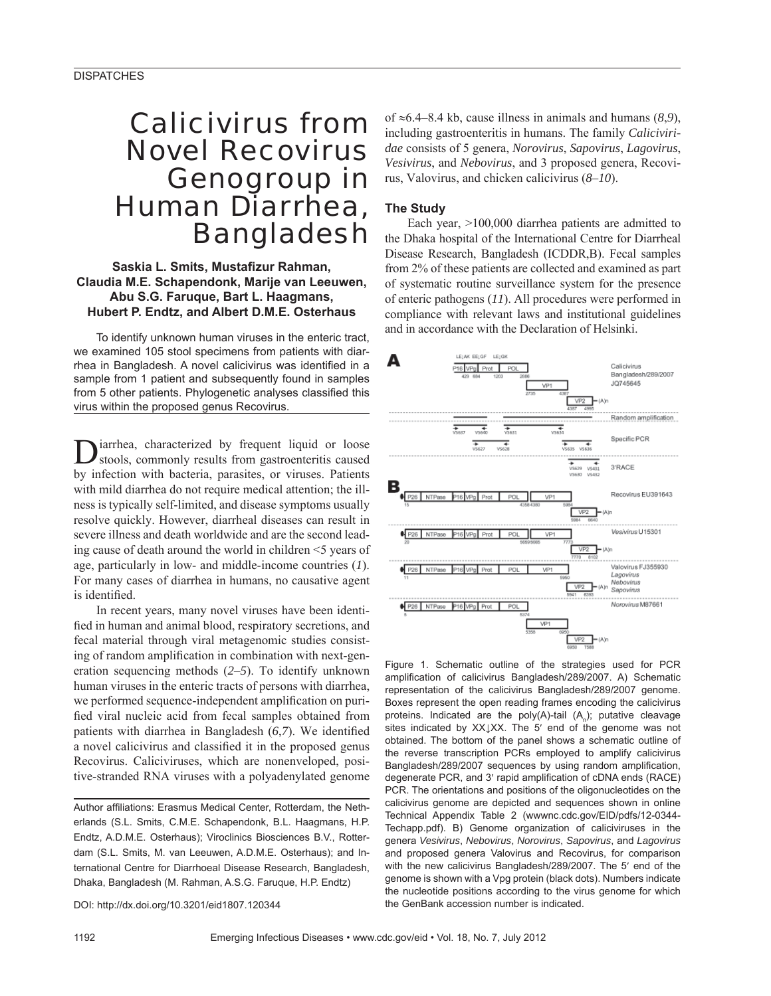## Calicivirus from Novel Recovirus Genogroup in Human Diarrhea, Bangladesh

**Saskia L. Smits, Mustafizur Rahman, Claudia M.E. Schapendonk, Marije van Leeuwen, Abu S.G. Faruque, Bart L. Haagmans, Hubert P. Endtz, and Albert D.M.E. Osterhaus**

To identify unknown human viruses in the enteric tract, we examined 105 stool specimens from patients with diarrhea in Bangladesh. A novel calicivirus was identified in a sample from 1 patient and subsequently found in samples from 5 other patients. Phylogenetic analyses classified this virus within the proposed genus Recovirus.

iarrhea, characterized by frequent liquid or loose stools, commonly results from gastroenteritis caused by infection with bacteria, parasites, or viruses. Patients with mild diarrhea do not require medical attention; the illness is typically self-limited, and disease symptoms usually resolve quickly. However, diarrheal diseases can result in severe illness and death worldwide and are the second leading cause of death around the world in children <5 years of age, particularly in low- and middle-income countries (*1*). For many cases of diarrhea in humans, no causative agent is identified.

In recent years, many novel viruses have been identified in human and animal blood, respiratory secretions, and fecal material through viral metagenomic studies consisting of random amplification in combination with next-generation sequencing methods (*2*–*5*). To identify unknown human viruses in the enteric tracts of persons with diarrhea, we performed sequence-independent amplification on purified viral nucleic acid from fecal samples obtained from patients with diarrhea in Bangladesh  $(6,7)$ . We identified a novel calicivirus and classified it in the proposed genus Recovirus. Caliciviruses, which are nonenveloped, positive-stranded RNA viruses with a polyadenylated genome

Author affiliations: Erasmus Medical Center, Rotterdam, the Netherlands (S.L. Smits, C.M.E. Schapendonk, B.L. Haagmans, H.P. Endtz, A.D.M.E. Osterhaus); Viroclinics Biosciences B.V., Rotterdam (S.L. Smits, M. van Leeuwen, A.D.M.E. Osterhaus); and International Centre for Diarrhoeal Disease Research, Bangladesh, Dhaka, Bangladesh (M. Rahman, A.S.G. Faruque, H.P. Endtz)

DOI: http://dx.doi.org/10.3201/eid1807.120344

of  $\approx 6.4$ –8.4 kb, cause illness in animals and humans (8,9), including gastroenteritis in humans. The family *Caliciviridae* consists of 5 genera, *Norovirus*, *Sapovirus*, *Lagovirus*, *Vesivirus*, and *Nebovirus*, and 3 proposed genera, Recovirus, Valovirus, and chicken calicivirus (*8–10*).

## **The Study**

Each year, >100,000 diarrhea patients are admitted to the Dhaka hospital of the International Centre for Diarrheal Disease Research, Bangladesh (ICDDR,B). Fecal samples from 2% of these patients are collected and examined as part of systematic routine surveillance system for the presence of enteric pathogens (*11*). All procedures were performed in compliance with relevant laws and institutional guidelines and in accordance with the Declaration of Helsinki.



Figure 1. Schematic outline of the strategies used for PCR amplification of calicivirus Bangladesh/289/2007. A) Schematic representation of the calicivirus Bangladesh/289/2007 genome. Boxes represent the open reading frames encoding the calicivirus proteins. Indicated are the poly(A)-tail  $(A_n)$ ; putative cleavage sites indicated by XX↓XX. The 5' end of the genome was not obtained. The bottom of the panel shows a schematic outline of the reverse transcription PCRs employed to amplify calicivirus Bangladesh/289/2007 sequences by using random amplification, degenerate PCR, and 3' rapid amplification of cDNA ends (RACE) PCR. The orientations and positions of the oligonucleotides on the calicivirus genome are depicted and sequences shown in online Technical Appendix Table 2 (wwwnc.cdc.gov/EID/pdfs/12-0344- Techapp.pdf). B) Genome organization of caliciviruses in the genera *Vesivirus*, *Nebovirus*, *Norovirus*, *Sapovirus*, and *Lagovirus* and proposed genera Valovirus and Recovirus, for comparison with the new calicivirus Bangladesh/289/2007. The 5′ end of the genome is shown with a Vpg protein (black dots). Numbers indicate the nucleotide positions according to the virus genome for which the GenBank accession number is indicated.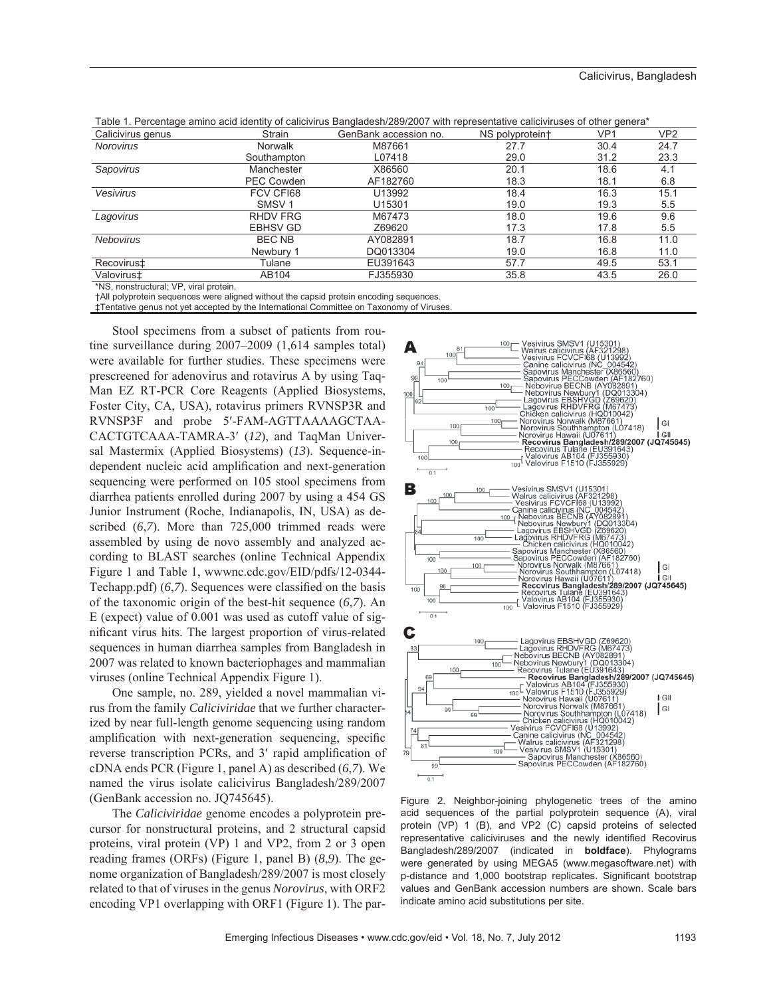| Calicivirus genus | Strain            | GenBank accession no. | NS polyprotein+ | VP1  | VP <sub>2</sub> |
|-------------------|-------------------|-----------------------|-----------------|------|-----------------|
| <b>Norovirus</b>  | Norwalk           | M87661                | 27.7            | 30.4 | 24.7            |
|                   | Southampton       | L07418                | 29.0            | 31.2 | 23.3            |
| Sapovirus         | Manchester        | X86560                | 20.1            | 18.6 | 4.1             |
|                   | PEC Cowden        | AF182760              | 18.3            | 18.1 | 6.8             |
| Vesivirus         | FCV CFI68         | U13992                | 18.4            | 16.3 | 15.1            |
|                   | SMSV <sub>1</sub> | U15301                | 19.0            | 19.3 | $5.5^{\circ}$   |
| Lagovirus         | RHDV FRG          | M67473                | 18.0            | 19.6 | 9.6             |
|                   | <b>EBHSV GD</b>   | Z69620                | 17.3            | 17.8 | 5.5             |
| <b>Nebovirus</b>  | BEC NB            | AY082891              | 18.7            | 16.8 | 11.0            |
|                   | Newbury 1         | DQ013304              | 19.0            | 16.8 | 11.0            |
| Recovirus‡        | Tulane            | EU391643              | 57.7            | 49.5 | 53.1            |
| Valovirust        | AB104             | FJ355930              | 35.8            | 43.5 | 26.0            |

Table 1. Percentage amino acid identity of calicivirus Bangladesh/289/2007 with representative caliciviruses of other genera\*

\*NS, nonstructural; VP, viral protein.

†All polyprotein sequences were aligned without the capsid protein encoding sequences.

‡Tentative genus not yet accepted by the International Committee on Taxonomy of Viruses.

Stool specimens from a subset of patients from routine surveillance during 2007–2009 (1,614 samples total) were available for further studies. These specimens were prescreened for adenovirus and rotavirus A by using Taq-Man EZ RT-PCR Core Reagents (Applied Biosystems, Foster City, CA, USA), rotavirus primers RVNSP3R and RVNSP3F and probe 5′-FAM-AGTTAAAAGCTAA-CACTGTCAAA-TAMRA-3′ (*12*), and TaqMan Universal Mastermix (Applied Biosystems) (*13*). Sequence-independent nucleic acid amplification and next-generation sequencing were performed on 105 stool specimens from diarrhea patients enrolled during 2007 by using a 454 GS Junior Instrument (Roche, Indianapolis, IN, USA) as described (*6*,*7*). More than 725,000 trimmed reads were assembled by using de novo assembly and analyzed according to BLAST searches (online Technical Appendix Figure 1 and Table 1, wwwnc.cdc.gov/EID/pdfs/12-0344- Techapp.pdf) (6,7). Sequences were classified on the basis of the taxonomic origin of the best-hit sequence (*6*,*7*). An E (expect) value of 0.001 was used as cutoff value of significant virus hits. The largest proportion of virus-related sequences in human diarrhea samples from Bangladesh in 2007 was related to known bacteriophages and mammalian viruses (online Technical Appendix Figure 1).

One sample, no. 289, yielded a novel mammalian virus from the family *Caliciviridae* that we further characterized by near full-length genome sequencing using random amplification with next-generation sequencing, specific reverse transcription PCRs, and 3' rapid amplification of cDNA ends PCR (Figure 1, panel A) as described (*6*,*7*). We named the virus isolate calicivirus Bangladesh/289/2007 (GenBank accession no. JQ745645).

The *Caliciviridae* genome encodes a polyprotein precursor for nonstructural proteins, and 2 structural capsid proteins, viral protein (VP) 1 and VP2, from 2 or 3 open reading frames (ORFs) (Figure 1, panel B) (*8*,*9*). The genome organization of Bangladesh/289/2007 is most closely related to that of viruses in the genus *Norovirus*, with ORF2 encoding VP1 overlapping with ORF1 (Figure 1). The par-



Figure 2. Neighbor-joining phylogenetic trees of the amino acid sequences of the partial polyprotein sequence (A), viral protein (VP) 1 (B), and VP2 (C) capsid proteins of selected representative caliciviruses and the newly identified Recovirus Bangladesh/289/2007 (indicated in **boldface**). Phylograms were generated by using MEGA5 (www.megasoftware.net) with p-distance and 1,000 bootstrap replicates. Significant bootstrap values and GenBank accession numbers are shown. Scale bars indicate amino acid substitutions per site.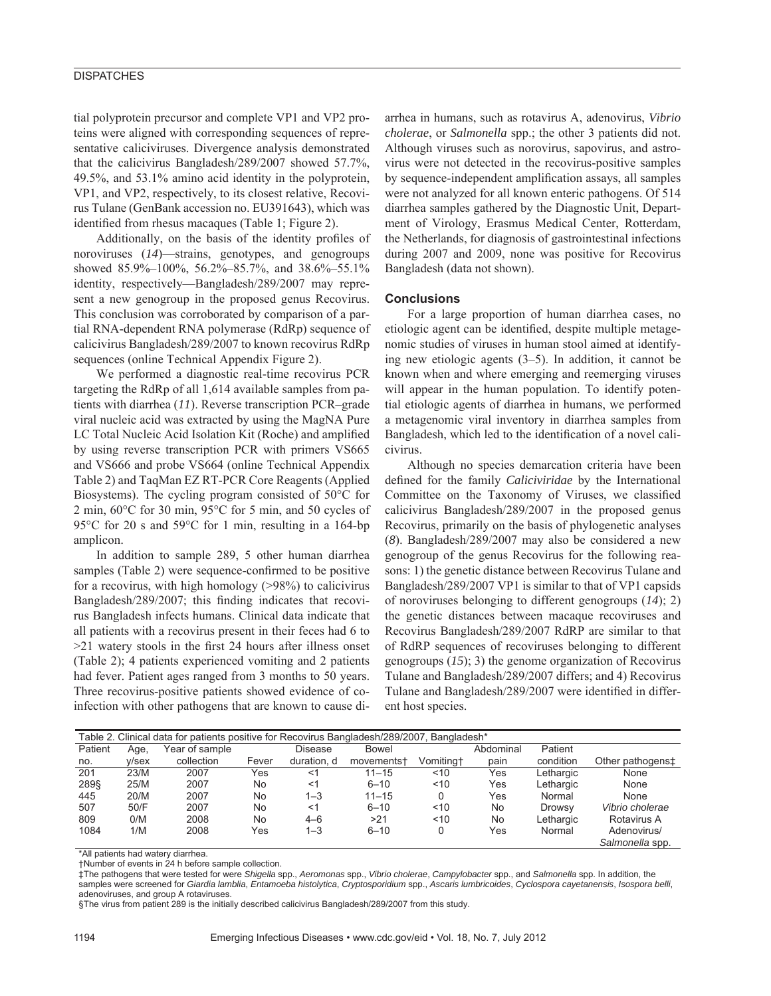### **DISPATCHES**

tial polyprotein precursor and complete VP1 and VP2 proteins were aligned with corresponding sequences of representative caliciviruses. Divergence analysis demonstrated that the calicivirus Bangladesh/289/2007 showed 57.7%, 49.5%, and 53.1% amino acid identity in the polyprotein, VP1, and VP2, respectively, to its closest relative, Recovirus Tulane (GenBank accession no. EU391643), which was identified from rhesus macaques (Table 1; Figure 2).

Additionally, on the basis of the identity profiles of noroviruses (*14*)—strains, genotypes, and genogroups showed 85.9%–100%, 56.2%–85.7%, and 38.6%–55.1% identity, respectively—Bangladesh/289/2007 may represent a new genogroup in the proposed genus Recovirus. This conclusion was corroborated by comparison of a partial RNA-dependent RNA polymerase (RdRp) sequence of calicivirus Bangladesh/289/2007 to known recovirus RdRp sequences (online Technical Appendix Figure 2).

We performed a diagnostic real-time recovirus PCR targeting the RdRp of all 1,614 available samples from patients with diarrhea (*11*). Reverse transcription PCR–grade viral nucleic acid was extracted by using the MagNA Pure LC Total Nucleic Acid Isolation Kit (Roche) and amplified by using reverse transcription PCR with primers VS665 and VS666 and probe VS664 (online Technical Appendix Table 2) and TaqMan EZ RT-PCR Core Reagents (Applied Biosystems). The cycling program consisted of 50°C for 2 min, 60°C for 30 min, 95°C for 5 min, and 50 cycles of 95°C for 20 s and 59°C for 1 min, resulting in a 164-bp amplicon.

In addition to sample 289, 5 other human diarrhea samples (Table 2) were sequence-confirmed to be positive for a recovirus, with high homology (>98%) to calicivirus Bangladesh/289/2007; this finding indicates that recovirus Bangladesh infects humans. Clinical data indicate that all patients with a recovirus present in their feces had 6 to  $>21$  watery stools in the first 24 hours after illness onset (Table 2); 4 patients experienced vomiting and 2 patients had fever. Patient ages ranged from 3 months to 50 years. Three recovirus-positive patients showed evidence of coinfection with other pathogens that are known to cause diarrhea in humans, such as rotavirus A, adenovirus, *Vibrio cholerae*, or *Salmonella* spp.; the other 3 patients did not. Although viruses such as norovirus, sapovirus, and astrovirus were not detected in the recovirus-positive samples by sequence-independent amplification assays, all samples were not analyzed for all known enteric pathogens. Of 514 diarrhea samples gathered by the Diagnostic Unit, Department of Virology, Erasmus Medical Center, Rotterdam, the Netherlands, for diagnosis of gastrointestinal infections during 2007 and 2009, none was positive for Recovirus Bangladesh (data not shown).

#### **Conclusions**

For a large proportion of human diarrhea cases, no etiologic agent can be identified, despite multiple metagenomic studies of viruses in human stool aimed at identifying new etiologic agents (3–5). In addition, it cannot be known when and where emerging and reemerging viruses will appear in the human population. To identify potential etiologic agents of diarrhea in humans, we performed a metagenomic viral inventory in diarrhea samples from Bangladesh, which led to the identification of a novel calicivirus.

Although no species demarcation criteria have been defined for the family *Caliciviridae* by the International Committee on the Taxonomy of Viruses, we classified calicivirus Bangladesh/289/2007 in the proposed genus Recovirus, primarily on the basis of phylogenetic analyses (*8*). Bangladesh/289/2007 may also be considered a new genogroup of the genus Recovirus for the following reasons: 1) the genetic distance between Recovirus Tulane and Bangladesh/289/2007 VP1 is similar to that of VP1 capsids of noroviruses belonging to different genogroups (*14*); 2) the genetic distances between macaque recoviruses and Recovirus Bangladesh/289/2007 RdRP are similar to that of RdRP sequences of recoviruses belonging to different genogroups (*15*); 3) the genome organization of Recovirus Tulane and Bangladesh/289/2007 differs; and 4) Recovirus Tulane and Bangladesh/289/2007 were identified in different host species.

| Table 2. Clinical data for patients positive for Recovirus Bangladesh/289/2007, Bangladesh* |       |                |       |                |                        |           |           |               |                  |  |  |  |
|---------------------------------------------------------------------------------------------|-------|----------------|-------|----------------|------------------------|-----------|-----------|---------------|------------------|--|--|--|
| Patient                                                                                     | Age,  | Year of sample |       | <b>Disease</b> | Bowel                  |           | Abdominal | Patient       |                  |  |  |  |
| no.                                                                                         | v/sex | collection     | Fever | duration, d    | movements <sup>+</sup> | Vomitingt | pain      | condition     | Other pathogens‡ |  |  |  |
| 201                                                                                         | 23/M  | 2007           | Yes   | <1             | $11 - 15$              | ~10       | Yes       | Lethargic     | None             |  |  |  |
| 289§                                                                                        | 25/M  | 2007           | No    | $<$ 1          | $6 - 10$               | ~10       | Yes       | Lethargic     | None             |  |  |  |
| 445                                                                                         | 20/M  | 2007           | No    | $1 - 3$        | $11 - 15$              |           | Yes       | Normal        | None             |  |  |  |
| 507                                                                                         | 50/F  | 2007           | No    | $<$ 1          | $6 - 10$               | ~10       | No        | <b>Drowsy</b> | Vibrio cholerae  |  |  |  |
| 809                                                                                         | 0/M   | 2008           | No    | $4 - 6$        | >21                    | ~10       | No.       | Lethargic     | Rotavirus A      |  |  |  |
| 1084                                                                                        | 1/M   | 2008           | Yes   | $1 - 3$        | $6 - 10$               |           | Yes       | Normal        | Adenovirus/      |  |  |  |
|                                                                                             |       |                |       |                |                        |           |           |               | Salmonella spp.  |  |  |  |

\*All patients had watery diarrhea.

†Number of events in 24 h before sample collection.

‡The pathogens that were tested for were *Shigella* spp., *Aeromonas* spp., *Vibrio cholerae*, *Campylobacter* spp., and *Salmonella* spp. In addition, the samples were screened for *Giardia lamblia*, *Entamoeba histolytica*, *Cryptosporidium* spp., *Ascaris lumbricoides*, *Cyclospora cayetanensis*, *Isospora belli*, adenoviruses, and group A rotaviruses.

§The virus from patient 289 is the initially described calicivirus Bangladesh/289/2007 from this study.